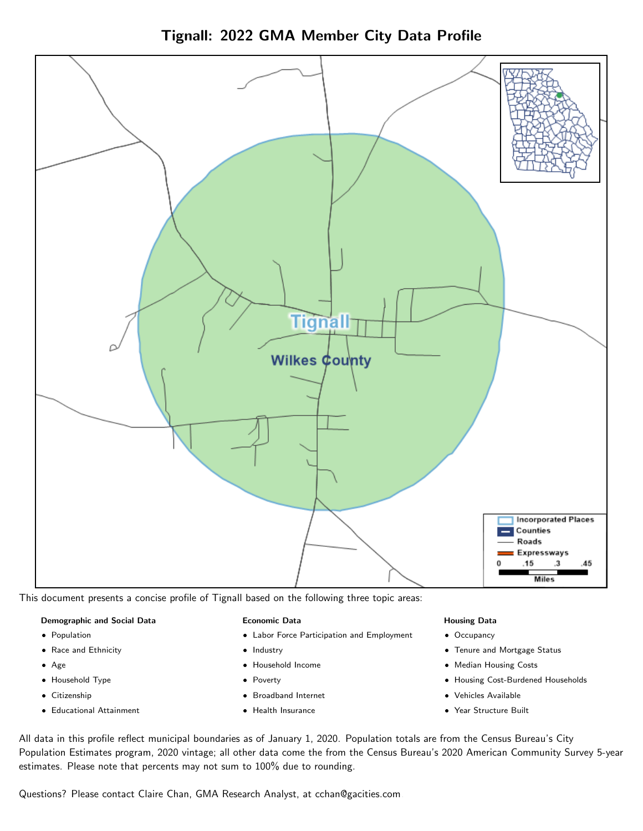

Tignall: 2022 GMA Member City Data Profile

This document presents a concise profile of Tignall based on the following three topic areas:

## Demographic and Social Data

- **•** Population
- Race and Ethnicity
- Age
- Household Type
- **Citizenship**
- Educational Attainment

## Economic Data

- Labor Force Participation and Employment
- Industry
- Household Income
- Poverty
- Broadband Internet
- Health Insurance

## Housing Data

- Occupancy
- Tenure and Mortgage Status
- Median Housing Costs
- Housing Cost-Burdened Households
- Vehicles Available
- Year Structure Built

All data in this profile reflect municipal boundaries as of January 1, 2020. Population totals are from the Census Bureau's City Population Estimates program, 2020 vintage; all other data come the from the Census Bureau's 2020 American Community Survey 5-year estimates. Please note that percents may not sum to 100% due to rounding.

Questions? Please contact Claire Chan, GMA Research Analyst, at [cchan@gacities.com.](mailto:cchan@gacities.com)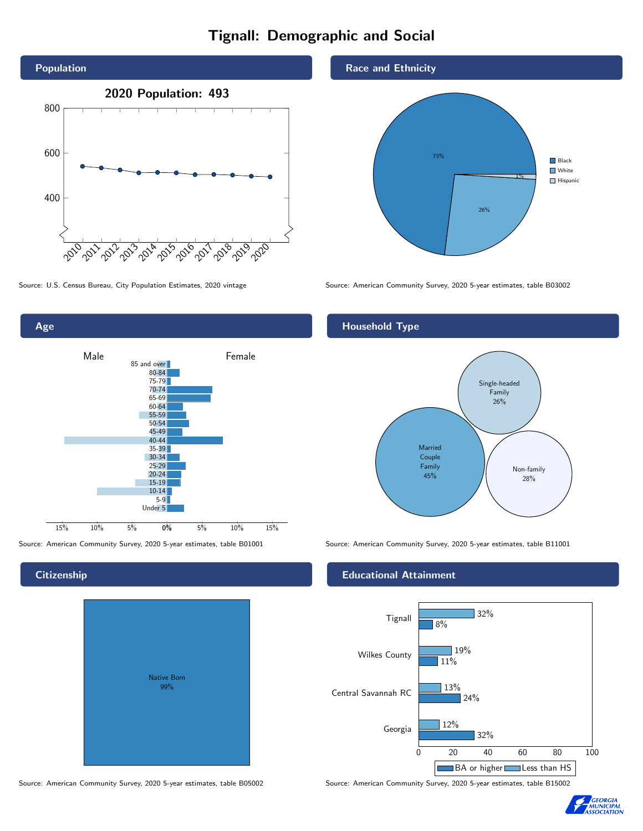# Tignall: Demographic and Social





# **Citizenship**

| <b>Native Born</b><br>99% |  |
|---------------------------|--|
|                           |  |

Race and Ethnicity



Source: U.S. Census Bureau, City Population Estimates, 2020 vintage Source: American Community Survey, 2020 5-year estimates, table B03002

# Household Type



Source: American Community Survey, 2020 5-year estimates, table B01001 Source: American Community Survey, 2020 5-year estimates, table B11001

## Educational Attainment



Source: American Community Survey, 2020 5-year estimates, table B05002 Source: American Community Survey, 2020 5-year estimates, table B15002

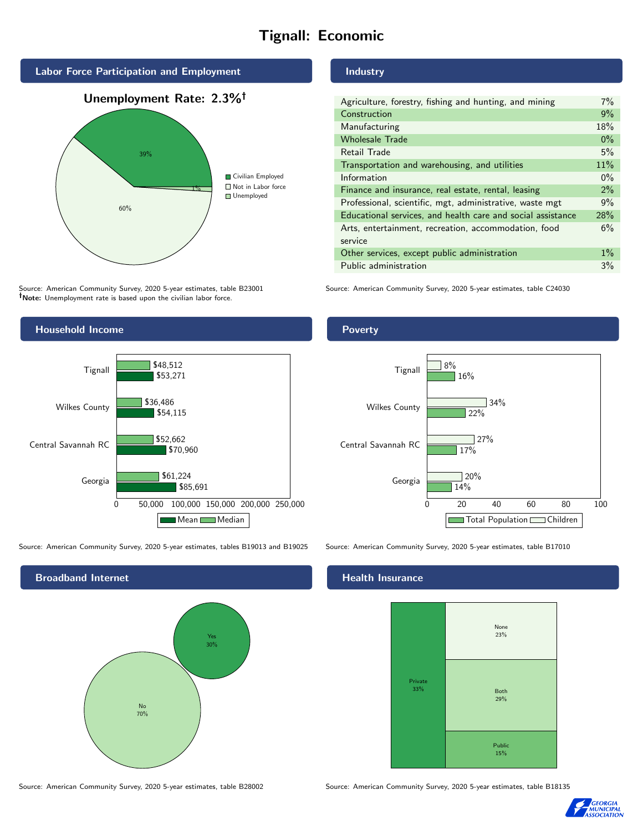# Tignall: Economic



Source: American Community Survey, 2020 5-year estimates, table B23001 Note: Unemployment rate is based upon the civilian labor force.



Source: American Community Survey, 2020 5-year estimates, tables B19013 and B19025 Source: American Community Survey, 2020 5-year estimates, table B17010



#### Source: American Community Survey, 2020 5-year estimates, table B28002 Source: American Community Survey, 2020 5-year estimates, table B18135

Industry

| Agriculture, forestry, fishing and hunting, and mining      | $7\%$ |
|-------------------------------------------------------------|-------|
| Construction                                                | 9%    |
| Manufacturing                                               | 18%   |
| <b>Wholesale Trade</b>                                      | $0\%$ |
| Retail Trade                                                | 5%    |
| Transportation and warehousing, and utilities               |       |
| Information                                                 |       |
| Finance and insurance, real estate, rental, leasing         |       |
| Professional, scientific, mgt, administrative, waste mgt    |       |
| Educational services, and health care and social assistance |       |
| Arts, entertainment, recreation, accommodation, food        |       |
| service                                                     |       |
| Other services, except public administration                |       |
| Public administration                                       |       |

Source: American Community Survey, 2020 5-year estimates, table C24030

### **Poverty**



#### Health Insurance